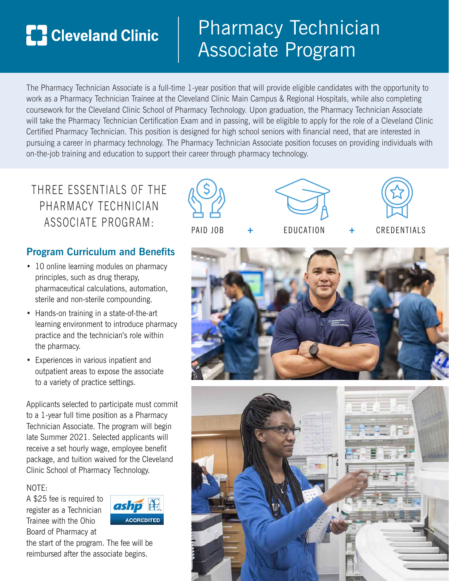# **TH** Cleveland Clinic

# Pharmacy Technician Associate Program

The Pharmacy Technician Associate is a full-time 1-year position that will provide eligible candidates with the opportunity to work as a Pharmacy Technician Trainee at the Cleveland Clinic Main Campus & Regional Hospitals, while also completing coursework for the Cleveland Clinic School of Pharmacy Technology. Upon graduation, the Pharmacy Technician Associate will take the Pharmacy Technician Certification Exam and in passing, will be eligible to apply for the role of a Cleveland Clinic Certified Pharmacy Technician. This position is designed for high school seniors with financial need, that are interested in pursuing a career in pharmacy technology. The Pharmacy Technician Associate position focuses on providing individuals with on-the-job training and education to support their career through pharmacy technology.

THREE ESSENTIALS OF THE PHARMACY TECHNICIAN ASSOCIATE PROGRAM: PAID JOB + FDUCATION + CREDENTIALS

## **Program Curriculum and Benefits**

- 10 online learning modules on pharmacy principles, such as drug therapy, pharmaceutical calculations, automation, sterile and non-sterile compounding.
- Hands-on training in a state-of-the-art learning environment to introduce pharmacy practice and the technician's role within the pharmacy.
- Experiences in various inpatient and outpatient areas to expose the associate to a variety of practice settings.

Applicants selected to participate must commit to a 1-year full time position as a Pharmacy Technician Associate. The program will begin late Summer 2021. Selected applicants will receive a set hourly wage, employee benefit package, and tuition waived for the Cleveland Clinic School of Pharmacy Technology.

NOTE:

A \$25 fee is required to register as a Technician Trainee with the Ohio Board of Pharmacy at



the start of the program. The fee will be reimbursed after the associate begins.